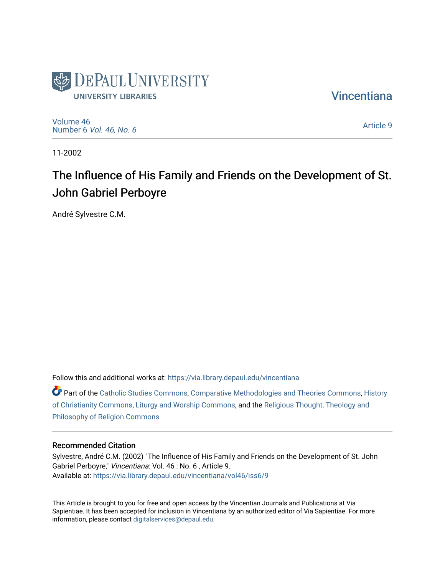

**Vincentiana** 

[Volume 46](https://via.library.depaul.edu/vincentiana/vol46) Number 6 [Vol. 46, No. 6](https://via.library.depaul.edu/vincentiana/vol46/iss6)

[Article 9](https://via.library.depaul.edu/vincentiana/vol46/iss6/9) 

11-2002

## The Influence of His Family and Friends on the Development of St. John Gabriel Perboyre

André Sylvestre C.M.

Follow this and additional works at: [https://via.library.depaul.edu/vincentiana](https://via.library.depaul.edu/vincentiana?utm_source=via.library.depaul.edu%2Fvincentiana%2Fvol46%2Fiss6%2F9&utm_medium=PDF&utm_campaign=PDFCoverPages) 

Part of the [Catholic Studies Commons](http://network.bepress.com/hgg/discipline/1294?utm_source=via.library.depaul.edu%2Fvincentiana%2Fvol46%2Fiss6%2F9&utm_medium=PDF&utm_campaign=PDFCoverPages), [Comparative Methodologies and Theories Commons,](http://network.bepress.com/hgg/discipline/540?utm_source=via.library.depaul.edu%2Fvincentiana%2Fvol46%2Fiss6%2F9&utm_medium=PDF&utm_campaign=PDFCoverPages) [History](http://network.bepress.com/hgg/discipline/1182?utm_source=via.library.depaul.edu%2Fvincentiana%2Fvol46%2Fiss6%2F9&utm_medium=PDF&utm_campaign=PDFCoverPages)  [of Christianity Commons](http://network.bepress.com/hgg/discipline/1182?utm_source=via.library.depaul.edu%2Fvincentiana%2Fvol46%2Fiss6%2F9&utm_medium=PDF&utm_campaign=PDFCoverPages), [Liturgy and Worship Commons,](http://network.bepress.com/hgg/discipline/1188?utm_source=via.library.depaul.edu%2Fvincentiana%2Fvol46%2Fiss6%2F9&utm_medium=PDF&utm_campaign=PDFCoverPages) and the [Religious Thought, Theology and](http://network.bepress.com/hgg/discipline/544?utm_source=via.library.depaul.edu%2Fvincentiana%2Fvol46%2Fiss6%2F9&utm_medium=PDF&utm_campaign=PDFCoverPages) [Philosophy of Religion Commons](http://network.bepress.com/hgg/discipline/544?utm_source=via.library.depaul.edu%2Fvincentiana%2Fvol46%2Fiss6%2F9&utm_medium=PDF&utm_campaign=PDFCoverPages)

## Recommended Citation

Sylvestre, André C.M. (2002) "The Influence of His Family and Friends on the Development of St. John Gabriel Perboyre," Vincentiana: Vol. 46 : No. 6 , Article 9. Available at: [https://via.library.depaul.edu/vincentiana/vol46/iss6/9](https://via.library.depaul.edu/vincentiana/vol46/iss6/9?utm_source=via.library.depaul.edu%2Fvincentiana%2Fvol46%2Fiss6%2F9&utm_medium=PDF&utm_campaign=PDFCoverPages) 

This Article is brought to you for free and open access by the Vincentian Journals and Publications at Via Sapientiae. It has been accepted for inclusion in Vincentiana by an authorized editor of Via Sapientiae. For more information, please contact [digitalservices@depaul.edu](mailto:digitalservices@depaul.edu).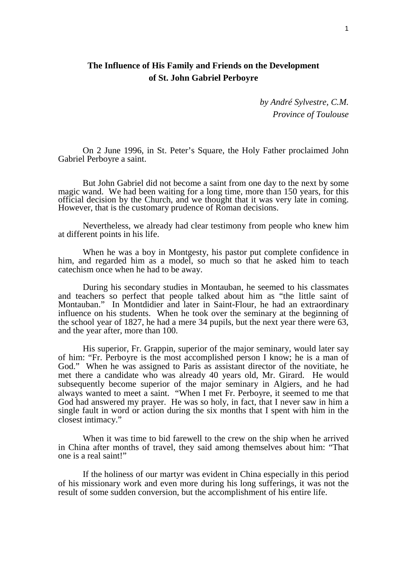## **The Influence of His Family and Friends on the Development of St. John Gabriel Perboyre**

*by André Sylvestre, C.M. Province of Toulouse*

On 2 June 1996, in St. Peter's Square, the Holy Father proclaimed John Gabriel Perboyre a saint.

But John Gabriel did not become a saint from one day to the next by some magic wand. We had been waiting for a long time, more than 150 years, for this official decision by the Church, and we thought that it was very late in coming. However, that is the customary prudence of Roman decisions.

Nevertheless, we already had clear testimony from people who knew him at different points in his life.

When he was a boy in Montgesty, his pastor put complete confidence in him, and regarded him as a model, so much so that he asked him to teach catechism once when he had to be away.

During his secondary studies in Montauban, he seemed to his classmates and teachers so perfect that people talked about him as "the little saint of Montauban." In Montdidier and later in Saint-Flour, he had an extraordinary influence on his students. When he took over the seminary at the beginning of the school year of 1827, he had a mere 34 pupils, but the next year there were 63, and the year after, more than 100.

His superior, Fr. Grappin, superior of the major seminary, would later say of him: "Fr. Perboyre is the most accomplished person I know; he is a man of God." When he was assigned to Paris as assistant director of the novitiate, he met there a candidate who was already 40 years old, Mr. Girard. He would subsequently become superior of the major seminary in Algiers, and he had always wanted to meet a saint. "When I met Fr. Perboyre, it seemed to me that God had answered my prayer. He was so holy, in fact, that I never saw in him a single fault in word or action during the six months that I spent with him in the closest intimacy."

When it was time to bid farewell to the crew on the ship when he arrived in China after months of travel, they said among themselves about him: "That one is a real saint!"

If the holiness of our martyr was evident in China especially in this period of his missionary work and even more during his long sufferings, it was not the result of some sudden conversion, but the accomplishment of his entire life.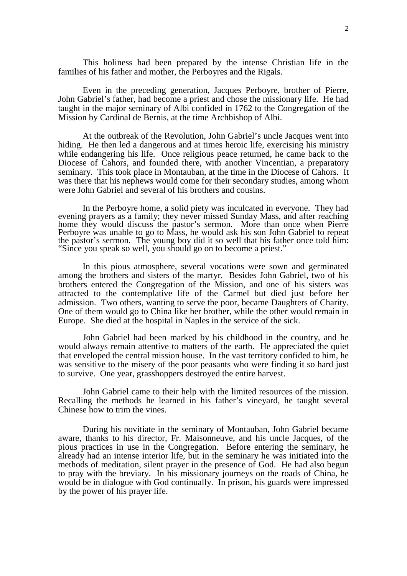This holiness had been prepared by the intense Christian life in the families of his father and mother, the Perboyres and the Rigals.

Even in the preceding generation, Jacques Perboyre, brother of Pierre, John Gabriel's father, had become a priest and chose the missionary life. He had taught in the major seminary of Albi confided in 1762 to the Congregation of the Mission by Cardinal de Bernis, at the time Archbishop of Albi.

At the outbreak of the Revolution, John Gabriel's uncle Jacques went into hiding. He then led a dangerous and at times heroic life, exercising his ministry while endangering his life. Once religious peace returned, he came back to the Diocese of Cahors, and founded there, with another Vincentian, a preparatory seminary. This took place in Montauban, at the time in the Diocese of Cahors. It was there that his nephews would come for their secondary studies, among whom were John Gabriel and several of his brothers and cousins.

In the Perboyre home, a solid piety was inculcated in everyone. They had evening prayers as a family; they never missed Sunday Mass, and after reaching home they would discuss the pastor's sermon. More than once when Pierre Perboyre was unable to go to Mass, he would ask his son John Gabriel to repeat the pastor's sermon. The young boy did it so well that his father once told him: "Since you speak so well, you should go on to become a priest."

In this pious atmosphere, several vocations were sown and germinated among the brothers and sisters of the martyr. Besides John Gabriel, two of his brothers entered the Congregation of the Mission, and one of his sisters was attracted to the contemplative life of the Carmel but died just before her admission. Two others, wanting to serve the poor, became Daughters of Charity. One of them would go to China like her brother, while the other would remain in Europe. She died at the hospital in Naples in the service of the sick.

John Gabriel had been marked by his childhood in the country, and he would always remain attentive to matters of the earth. He appreciated the quiet that enveloped the central mission house. In the vast territory confided to him, he was sensitive to the misery of the poor peasants who were finding it so hard just to survive. One year, grasshoppers destroyed the entire harvest.

John Gabriel came to their help with the limited resources of the mission. Recalling the methods he learned in his father's vineyard, he taught several Chinese how to trim the vines.

During his novitiate in the seminary of Montauban, John Gabriel became aware, thanks to his director, Fr. Maisonneuve, and his uncle Jacques, of the pious practices in use in the Congregation. Before entering the seminary, he already had an intense interior life, but in the seminary he was initiated into the methods of meditation, silent prayer in the presence of God. He had also begun to pray with the breviary. In his missionary journeys on the roads of China, he would be in dialogue with God continually. In prison, his guards were impressed by the power of his prayer life.